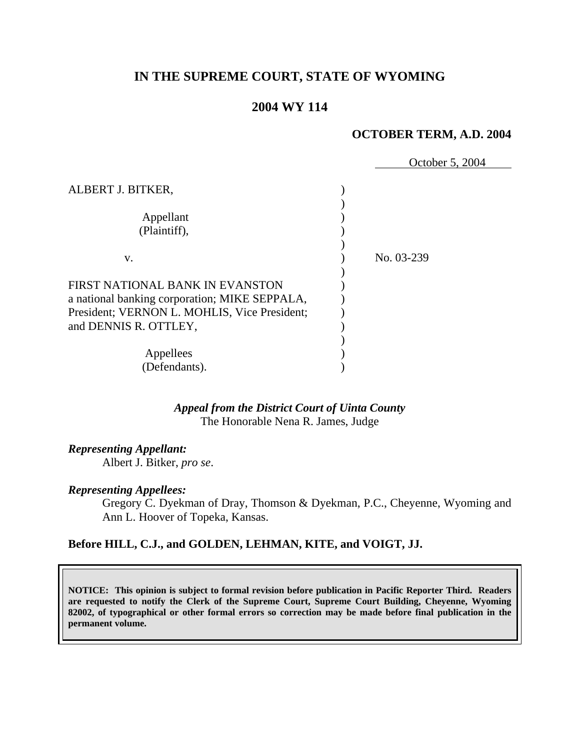# **IN THE SUPREME COURT, STATE OF WYOMING**

# **2004 WY 114**

#### **OCTOBER TERM, A.D. 2004**

|                                                                                               | October 5, 2004 |
|-----------------------------------------------------------------------------------------------|-----------------|
| ALBERT J. BITKER,                                                                             |                 |
| Appellant<br>(Plaintiff),                                                                     |                 |
| V.                                                                                            | No. 03-239      |
| FIRST NATIONAL BANK IN EVANSTON                                                               |                 |
| a national banking corporation; MIKE SEPPALA,<br>President; VERNON L. MOHLIS, Vice President; |                 |
| and DENNIS R. OTTLEY,                                                                         |                 |
| Appellees                                                                                     |                 |
| (Defendants).                                                                                 |                 |

### *Appeal from the District Court of Uinta County* The Honorable Nena R. James, Judge

#### *Representing Appellant:*

Albert J. Bitker, *pro se*.

#### *Representing Appellees:*

Gregory C. Dyekman of Dray, Thomson & Dyekman, P.C., Cheyenne, Wyoming and Ann L. Hoover of Topeka, Kansas.

### **Before HILL, C.J., and GOLDEN, LEHMAN, KITE, and VOIGT, JJ.**

**NOTICE: This opinion is subject to formal revision before publication in Pacific Reporter Third. Readers are requested to notify the Clerk of the Supreme Court, Supreme Court Building, Cheyenne, Wyoming 82002, of typographical or other formal errors so correction may be made before final publication in the permanent volume.**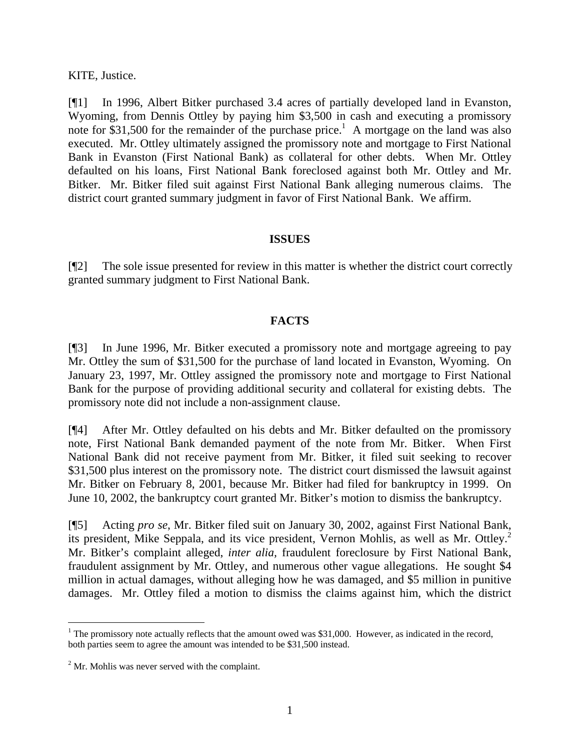KITE, Justice.

[¶1] In 1996, Albert Bitker purchased 3.4 acres of partially developed land in Evanston, Wyoming, from Dennis Ottley by paying him \$3,500 in cash and executing a promissory note for \$31,500 for the remainder of the purchase price.<sup>1</sup> A mortgage on the land was also executed. Mr. Ottley ultimately assigned the promissory note and mortgage to First National Bank in Evanston (First National Bank) as collateral for other debts. When Mr. Ottley defaulted on his loans, First National Bank foreclosed against both Mr. Ottley and Mr. Bitker. Mr. Bitker filed suit against First National Bank alleging numerous claims. The district court granted summary judgment in favor of First National Bank. We affirm.

### **ISSUES**

[¶2] The sole issue presented for review in this matter is whether the district court correctly granted summary judgment to First National Bank.

# **FACTS**

[¶3] In June 1996, Mr. Bitker executed a promissory note and mortgage agreeing to pay Mr. Ottley the sum of \$31,500 for the purchase of land located in Evanston, Wyoming. On January 23, 1997, Mr. Ottley assigned the promissory note and mortgage to First National Bank for the purpose of providing additional security and collateral for existing debts. The promissory note did not include a non-assignment clause.

[¶4] After Mr. Ottley defaulted on his debts and Mr. Bitker defaulted on the promissory note, First National Bank demanded payment of the note from Mr. Bitker. When First National Bank did not receive payment from Mr. Bitker, it filed suit seeking to recover \$31,500 plus interest on the promissory note. The district court dismissed the lawsuit against Mr. Bitker on February 8, 2001, because Mr. Bitker had filed for bankruptcy in 1999. On June 10, 2002, the bankruptcy court granted Mr. Bitker's motion to dismiss the bankruptcy.

[¶5] Acting *pro se*, Mr. Bitker filed suit on January 30, 2002, against First National Bank, its president, Mike Seppala, and its vice president, Vernon Mohlis, as well as Mr. Ottley.<sup>2</sup> Mr. Bitker's complaint alleged, *inter alia,* fraudulent foreclosure by First National Bank, fraudulent assignment by Mr. Ottley, and numerous other vague allegations.He sought \$4 million in actual damages, without alleging how he was damaged, and \$5 million in punitive damages. Mr. Ottley filed a motion to dismiss the claims against him, which the district

<sup>&</sup>lt;sup>1</sup> The promissory note actually reflects that the amount owed was \$31,000. However, as indicated in the record, both parties seem to agree the amount was intended to be \$31,500 instead.

 $2^2$  Mr. Mohlis was never served with the complaint.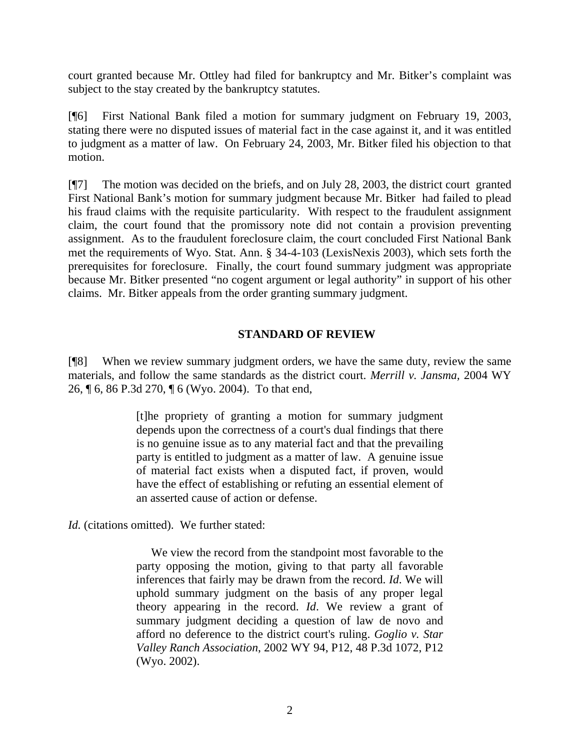court granted because Mr. Ottley had filed for bankruptcy and Mr. Bitker's complaint was subject to the stay created by the bankruptcy statutes.

[¶6] First National Bank filed a motion for summary judgment on February 19, 2003, stating there were no disputed issues of material fact in the case against it, and it was entitled to judgment as a matter of law. On February 24, 2003, Mr. Bitker filed his objection to that motion.

[¶7] The motion was decided on the briefs, and on July 28, 2003, the district court granted First National Bank's motion for summary judgment because Mr. Bitker had failed to plead his fraud claims with the requisite particularity. With respect to the fraudulent assignment claim, the court found that the promissory note did not contain a provision preventing assignment. As to the fraudulent foreclosure claim, the court concluded First National Bank met the requirements of Wyo. Stat. Ann. § 34-4-103 (LexisNexis 2003), which sets forth the prerequisites for foreclosure. Finally, the court found summary judgment was appropriate because Mr. Bitker presented "no cogent argument or legal authority" in support of his other claims. Mr. Bitker appeals from the order granting summary judgment.

# **STANDARD OF REVIEW**

[¶8] When we review summary judgment orders, we have the same duty, review the same materials, and follow the same standards as the district court. *Merrill v. Jansma,* 2004 WY 26, ¶ 6, 86 P.3d 270, ¶ 6 (Wyo. 2004). To that end,

> [t]he propriety of granting a motion for summary judgment depends upon the correctness of a court's dual findings that there is no genuine issue as to any material fact and that the prevailing party is entitled to judgment as a matter of law. A genuine issue of material fact exists when a disputed fact, if proven, would have the effect of establishing or refuting an essential element of an asserted cause of action or defense.

*Id.* (citations omitted). We further stated:

 We view the record from the standpoint most favorable to the party opposing the motion, giving to that party all favorable inferences that fairly may be drawn from the record. *Id*. We will uphold summary judgment on the basis of any proper legal theory appearing in the record. *Id*. We review a grant of summary judgment deciding a question of law de novo and afford no deference to the district court's ruling. *Goglio v. Star Valley Ranch Association*, 2002 WY 94, P12, 48 P.3d 1072, P12 (Wyo. 2002).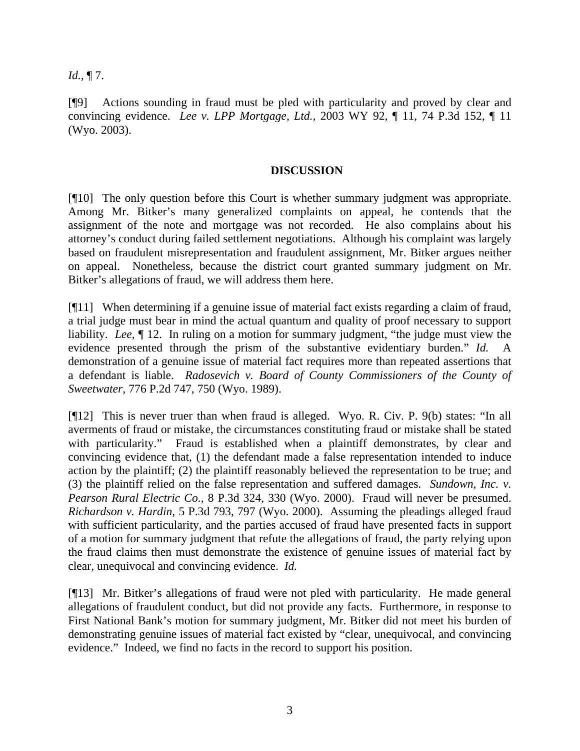*Id.,* ¶ 7.

[¶9] Actions sounding in fraud must be pled with particularity and proved by clear and convincing evidence. *Lee v. LPP Mortgage, Ltd.,* 2003 WY 92, ¶ 11, 74 P.3d 152, ¶ 11 (Wyo. 2003).

#### **DISCUSSION**

[¶10] The only question before this Court is whether summary judgment was appropriate. Among Mr. Bitker's many generalized complaints on appeal, he contends that the assignment of the note and mortgage was not recorded. He also complains about his attorney's conduct during failed settlement negotiations. Although his complaint was largely based on fraudulent misrepresentation and fraudulent assignment, Mr. Bitker argues neither on appeal. Nonetheless, because the district court granted summary judgment on Mr. Bitker's allegations of fraud, we will address them here.

[¶11] When determining if a genuine issue of material fact exists regarding a claim of fraud, a trial judge must bear in mind the actual quantum and quality of proof necessary to support liability. *Lee*, ¶ 12. In ruling on a motion for summary judgment, "the judge must view the evidence presented through the prism of the substantive evidentiary burden." *Id.* A demonstration of a genuine issue of material fact requires more than repeated assertions that a defendant is liable. *Radosevich v. Board of County Commissioners of the County of Sweetwater,* 776 P.2d 747, 750 (Wyo. 1989).

[¶12] This is never truer than when fraud is alleged. Wyo. R. Civ. P. 9(b) states: "In all averments of fraud or mistake, the circumstances constituting fraud or mistake shall be stated with particularity." Fraud is established when a plaintiff demonstrates, by clear and convincing evidence that, (1) the defendant made a false representation intended to induce action by the plaintiff; (2) the plaintiff reasonably believed the representation to be true; and (3) the plaintiff relied on the false representation and suffered damages. *Sundown, Inc. v. Pearson Rural Electric Co.*, 8 P.3d 324, 330 (Wyo. 2000). Fraud will never be presumed. *Richardson v. Hardin,* 5 P.3d 793, 797 (Wyo. 2000). Assuming the pleadings alleged fraud with sufficient particularity, and the parties accused of fraud have presented facts in support of a motion for summary judgment that refute the allegations of fraud, the party relying upon the fraud claims then must demonstrate the existence of genuine issues of material fact by clear, unequivocal and convincing evidence. *Id.* 

[¶13] Mr. Bitker's allegations of fraud were not pled with particularity. He made general allegations of fraudulent conduct, but did not provide any facts. Furthermore, in response to First National Bank's motion for summary judgment, Mr. Bitker did not meet his burden of demonstrating genuine issues of material fact existed by "clear, unequivocal, and convincing evidence." Indeed, we find no facts in the record to support his position.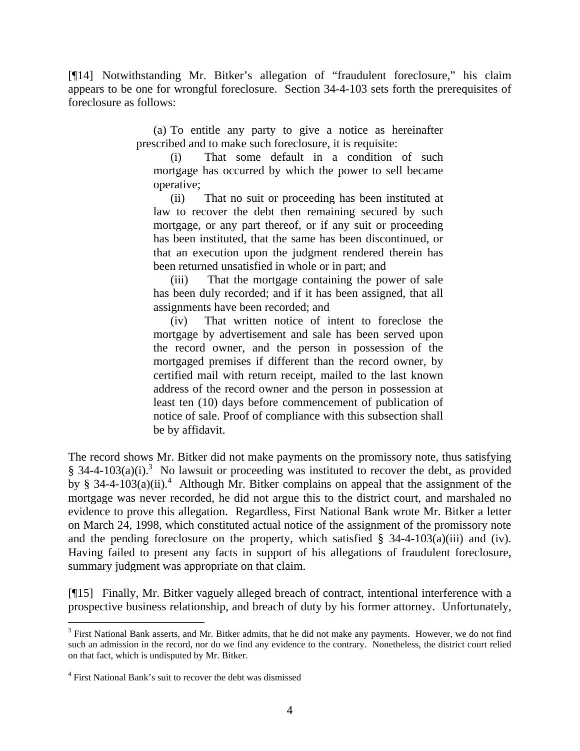[¶14] Notwithstanding Mr. Bitker's allegation of "fraudulent foreclosure," his claim appears to be one for wrongful foreclosure. Section 34-4-103 sets forth the prerequisites of foreclosure as follows:

> (a) To entitle any party to give a notice as hereinafter prescribed and to make such foreclosure, it is requisite:

(i) That some default in a condition of such mortgage has occurred by which the power to sell became operative;

(ii) That no suit or proceeding has been instituted at law to recover the debt then remaining secured by such mortgage, or any part thereof, or if any suit or proceeding has been instituted, that the same has been discontinued, or that an execution upon the judgment rendered therein has been returned unsatisfied in whole or in part; and

(iii) That the mortgage containing the power of sale has been duly recorded; and if it has been assigned, that all assignments have been recorded; and

(iv) That written notice of intent to foreclose the mortgage by advertisement and sale has been served upon the record owner, and the person in possession of the mortgaged premises if different than the record owner, by certified mail with return receipt, mailed to the last known address of the record owner and the person in possession at least ten (10) days before commencement of publication of notice of sale. Proof of compliance with this subsection shall be by affidavit.

The record shows Mr. Bitker did not make payments on the promissory note, thus satisfying § 34-4-103(a)(i).<sup>3</sup> No lawsuit or proceeding was instituted to recover the debt, as provided by § 34-4-103(a)(ii).<sup>4</sup> Although Mr. Bitker complains on appeal that the assignment of the mortgage was never recorded, he did not argue this to the district court, and marshaled no evidence to prove this allegation. Regardless, First National Bank wrote Mr. Bitker a letter on March 24, 1998, which constituted actual notice of the assignment of the promissory note and the pending foreclosure on the property, which satisfied  $\S$  34-4-103(a)(iii) and (iv). Having failed to present any facts in support of his allegations of fraudulent foreclosure, summary judgment was appropriate on that claim.

[¶15] Finally, Mr. Bitker vaguely alleged breach of contract, intentional interference with a prospective business relationship, and breach of duty by his former attorney. Unfortunately,

 $3$  First National Bank asserts, and Mr. Bitker admits, that he did not make any payments. However, we do not find such an admission in the record, nor do we find any evidence to the contrary. Nonetheless, the district court relied on that fact, which is undisputed by Mr. Bitker.

<sup>4</sup> First National Bank's suit to recover the debt was dismissed